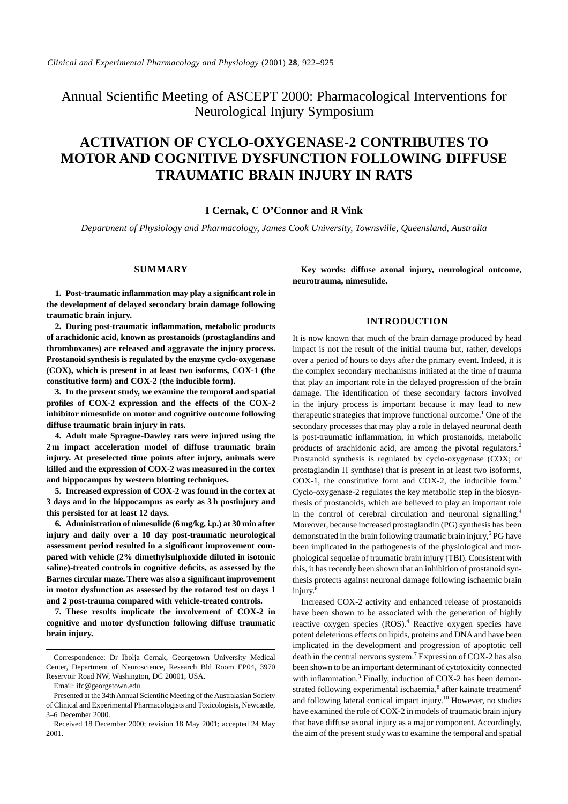Annual Scientific Meeting of ASCEPT 2000: Pharmacological Interventions for Neurological Injury Symposium

# **ACTIVATION OF CYCLO-OXYGENASE-2 CONTRIBUTES TO MOTOR AND COGNITIVE DYSFUNCTION FOLLOWING DIFFUSE TRAUMATIC BRAIN INJURY IN RATS**

# **I Cernak, C O'Connor and R Vink**

*Department of Physiology and Pharmacology, James Cook University, Townsville, Queensland, Australia*

# **SUMMARY**

**1. Post-traumatic inflammation may play a significant role in the development of delayed secondary brain damage following traumatic brain injury.**

**2. During post-traumatic inflammation, metabolic products of arachidonic acid, known as prostanoids (prostaglandins and thromboxanes) are released and aggravate the injury process. Prostanoid synthesis is regulated by the enzyme cyclo-oxygenase (COX), which is present in at least two isoforms, COX-1 (the constitutive form) and COX-2 (the inducible form).**

**3. In the present study, we examine the temporal and spatial profiles of COX-2 expression and the effects of the COX-2 inhibitor nimesulide on motor and cognitive outcome following diffuse traumatic brain injury in rats.**

**4. Adult male Sprague-Dawley rats were injured using the 2 m impact acceleration model of diffuse traumatic brain injury. At preselected time points after injury, animals were killed and the expression of COX-2 was measured in the cortex and hippocampus by western blotting techniques.**

**5. Increased expression of COX-2 was found in the cortex at 3 days and in the hippocampus as early as 3 h postinjury and this persisted for at least 12 days.**

**6. Administration of nimesulide (6 mg/kg, i.p.) at 30 min after injury and daily over a 10 day post-traumatic neurological assessment period resulted in a significant improvement compared with vehicle (2% dimethylsulphoxide diluted in isotonic saline)-treated controls in cognitive deficits, as assessed by the Barnes circular maze. There was also a significant improvement in motor dysfunction as assessed by the rotarod test on days 1 and 2 post-trauma compared with vehicle-treated controls.**

**7. These results implicate the involvement of COX-2 in cognitive and motor dysfunction following diffuse traumatic brain injury.**

**Key words: diffuse axonal injury, neurological outcome, neurotrauma, nimesulide.**

# **INTRODUCTION**

It is now known that much of the brain damage produced by head impact is not the result of the initial trauma but, rather, develops over a period of hours to days after the primary event. Indeed, it is the complex secondary mechanisms initiated at the time of trauma that play an important role in the delayed progression of the brain damage. The identification of these secondary factors involved in the injury process is important because it may lead to new therapeutic strategies that improve functional outcome.<sup>1</sup> One of the secondary processes that may play a role in delayed neuronal death is post-traumatic inflammation, in which prostanoids, metabolic products of arachidonic acid, are among the pivotal regulators.<sup>2</sup> Prostanoid synthesis is regulated by cyclo-oxygenase (COX; or prostaglandin H synthase) that is present in at least two isoforms, COX-1, the constitutive form and COX-2, the inducible form.<sup>3</sup> Cyclo-oxygenase-2 regulates the key metabolic step in the biosynthesis of prostanoids, which are believed to play an important role in the control of cerebral circulation and neuronal signalling.<sup>4</sup> Moreover, because increased prostaglandin (PG) synthesis has been demonstrated in the brain following traumatic brain injury,<sup>5</sup> PG have been implicated in the pathogenesis of the physiological and morphological sequelae of traumatic brain injury (TBI). Consistent with this, it has recently been shown that an inhibition of prostanoid synthesis protects against neuronal damage following ischaemic brain injury.6

Increased COX-2 activity and enhanced release of prostanoids have been shown to be associated with the generation of highly reactive oxygen species (ROS).<sup>4</sup> Reactive oxygen species have potent deleterious effects on lipids, proteins and DNA and have been implicated in the development and progression of apoptotic cell death in the central nervous system.<sup>7</sup> Expression of COX-2 has also been shown to be an important determinant of cytotoxicity connected with inflammation.<sup>3</sup> Finally, induction of COX-2 has been demonstrated following experimental ischaemia,<sup>8</sup> after kainate treatment<sup>9</sup> and following lateral cortical impact injury.<sup>10</sup> However, no studies have examined the role of COX-2 in models of traumatic brain injury that have diffuse axonal injury as a major component. Accordingly, the aim of the present study was to examine the temporal and spatial

Correspondence: Dr Ibolja Cernak, Georgetown University Medical Center, Department of Neuroscience, Research Bld Room EP04, 3970 Reservoir Road NW, Washington, DC 20001, USA.

Email: ifc@georgetown.edu

Presented at the 34th Annual Scientific Meeting of the Australasian Society of Clinical and Experimental Pharmacologists and Toxicologists, Newcastle, 3–6 December 2000.

Received 18 December 2000; revision 18 May 2001; accepted 24 May 2001.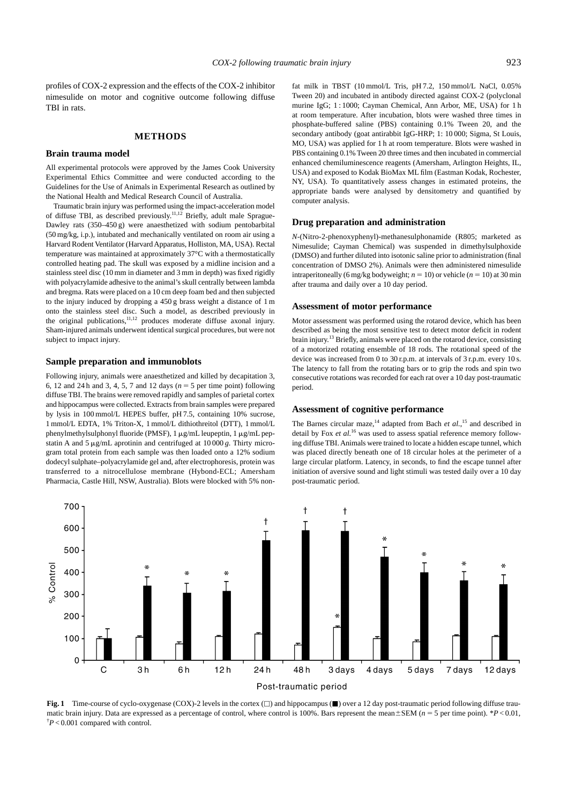profiles of COX-2 expression and the effects of the COX-2 inhibitor nimesulide on motor and cognitive outcome following diffuse TBI in rats.

# **METHODS**

### **Brain trauma model**

All experimental protocols were approved by the James Cook University Experimental Ethics Committee and were conducted according to the Guidelines for the Use of Animals in Experimental Research as outlined by the National Health and Medical Research Council of Australia.

Traumatic brain injury was performed using the impact-acceleration model of diffuse TBI, as described previously.11,12 Briefly, adult male Sprague-Dawley rats (350–450 g) were anaesthetized with sodium pentobarbital (50 mg/kg, i.p.), intubated and mechanically ventilated on room air using a Harvard Rodent Ventilator (Harvard Apparatus, Holliston, MA, USA). Rectal temperature was maintained at approximately 37°C with a thermostatically controlled heating pad. The skull was exposed by a midline incision and a stainless steel disc (10 mm in diameter and 3 mm in depth) was fixed rigidly with polyacrylamide adhesive to the animal's skull centrally between lambda and bregma. Rats were placed on a 10 cm deep foam bed and then subjected to the injury induced by dropping a 450 g brass weight a distance of 1 m onto the stainless steel disc. Such a model, as described previously in the original publications, $11,12$  produces moderate diffuse axonal injury. Sham-injured animals underwent identical surgical procedures, but were not subject to impact injury.

# **Sample preparation and immunoblots**

Following injury, animals were anaesthetized and killed by decapitation 3, 6, 12 and 24 h and 3, 4, 5, 7 and 12 days ( $n = 5$  per time point) following diffuse TBI. The brains were removed rapidly and samples of parietal cortex and hippocampus were collected. Extracts from brain samples were prepared by lysis in 100 mmol/L HEPES buffer, pH 7.5, containing 10% sucrose, 1 mmol/L EDTA, 1% Triton-X, 1 mmol/L dithiothreitol (DTT), 1 mmol/L phenylmethylsulphonyl fluoride (PMSF),  $1 \mu g/mL$  leupeptin,  $1 \mu g/mL$  pepstatin A and  $5 \mu g/mL$  aprotinin and centrifuged at  $10000 g$ . Thirty microgram total protein from each sample was then loaded onto a 12% sodium dodecyl sulphate–polyacrylamide gel and, after electrophoresis, protein was transferred to a nitrocellulose membrane (Hybond-ECL; Amersham Pharmacia, Castle Hill, NSW, Australia). Blots were blocked with 5% nonfat milk in TBST (10 mmol/L Tris, pH 7.2, 150 mmol/L NaCl, 0.05% Tween 20) and incubated in antibody directed against COX-2 (polyclonal murine IgG; 1 : 1000; Cayman Chemical, Ann Arbor, ME, USA) for 1 h at room temperature. After incubation, blots were washed three times in phosphate-buffered saline (PBS) containing 0.1% Tween 20, and the secondary antibody (goat antirabbit IgG-HRP; 1: 10 000; Sigma, St Louis, MO, USA) was applied for 1 h at room temperature. Blots were washed in PBS containing 0.1% Tween 20 three times and then incubated in commercial enhanced chemiluminescence reagents (Amersham, Arlington Heights, IL, USA) and exposed to Kodak BioMax ML film (Eastman Kodak, Rochester, NY, USA). To quantitatively assess changes in estimated proteins, the appropriate bands were analysed by densitometry and quantified by computer analysis.

# **Drug preparation and administration**

*N*-(Nitro-2-phenoxyphenyl)-methanesulphonamide (R805; marketed as Nimesulide; Cayman Chemical) was suspended in dimethylsulphoxide (DMSO) and further diluted into isotonic saline prior to administration (final concentration of DMSO 2%). Animals were then administered nimesulide intraperitoneally (6 mg/kg bodyweight;  $n = 10$ ) or vehicle ( $n = 10$ ) at 30 min after trauma and daily over a 10 day period.

## **Assessment of motor performance**

Motor assessment was performed using the rotarod device, which has been described as being the most sensitive test to detect motor deficit in rodent brain injury.13 Briefly, animals were placed on the rotarod device, consisting of a motorized rotating ensemble of 18 rods. The rotational speed of the device was increased from 0 to 30 r.p.m. at intervals of 3 r.p.m. every 10 s. The latency to fall from the rotating bars or to grip the rods and spin two consecutive rotations was recorded for each rat over a 10 day post-traumatic period.

#### **Assessment of cognitive performance**

The Barnes circular maze,<sup>14</sup> adapted from Bach *et al.*,<sup>15</sup> and described in detail by Fox *et al.*<sup>16</sup> was used to assess spatial reference memory following diffuse TBI. Animals were trained to locate a hidden escape tunnel, which was placed directly beneath one of 18 circular holes at the perimeter of a large circular platform. Latency, in seconds, to find the escape tunnel after initiation of aversive sound and light stimuli was tested daily over a 10 day post-traumatic period.



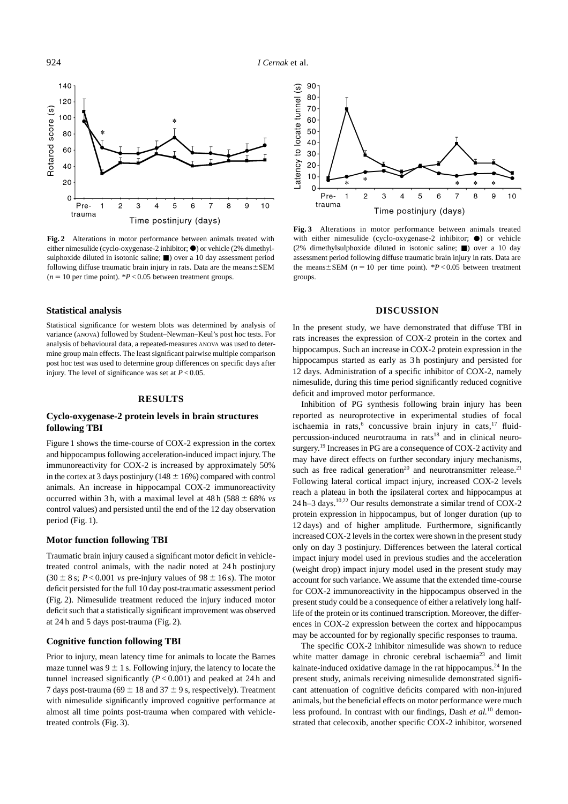924 *I Cernak* et al.



**Fig. 2** Alterations in motor performance between animals treated with either nimesulide (cyclo-oxygenase-2 inhibitor;  $\bullet$ ) or vehicle (2% dimethylsulphoxide diluted in isotonic saline;  $\blacksquare$ ) over a 10 day assessment period following diffuse traumatic brain injury in rats. Data are the means $\pm$ SEM  $(n = 10$  per time point).  $P < 0.05$  between treatment groups.

# **Statistical analysis**

Statistical significance for western blots was determined by analysis of variance (ANOVA) followed by Student–Newman–Keul's post hoc tests. For analysis of behavioural data, a repeated-measures ANOVA was used to determine group main effects. The least significant pairwise multiple comparison post hoc test was used to determine group differences on specific days after injury. The level of significance was set at  $P < 0.05$ .

### **RESULTS**

# **Cyclo-oxygenase-2 protein levels in brain structures following TBI**

Figure 1 shows the time-course of COX-2 expression in the cortex and hippocampus following acceleration-induced impact injury. The immunoreactivity for COX-2 is increased by approximately 50% in the cortex at 3 days postinjury ( $148 \pm 16\%$ ) compared with control animals. An increase in hippocampal COX-2 immunoreactivity occurred within 3 h, with a maximal level at  $48 h (588 \pm 68\% \text{ vs }$ control values) and persisted until the end of the 12 day observation period (Fig. 1).

# **Motor function following TBI**

Traumatic brain injury caused a significant motor deficit in vehicletreated control animals, with the nadir noted at 24 h postinjury  $(30 \pm 8 \text{ s}; P < 0.001 \text{ vs pre-injury values of } 98 \pm 16 \text{ s}).$  The motor deficit persisted for the full 10 day post-traumatic assessment period (Fig. 2). Nimesulide treatment reduced the injury induced motor deficit such that a statistically significant improvement was observed at 24 h and 5 days post-trauma (Fig. 2).

# **Cognitive function following TBI**

Prior to injury, mean latency time for animals to locate the Barnes maze tunnel was  $9 \pm 1$  s. Following injury, the latency to locate the tunnel increased significantly  $(P < 0.001)$  and peaked at 24 h and 7 days post-trauma (69  $\pm$  18 and 37  $\pm$  9 s, respectively). Treatment with nimesulide significantly improved cognitive performance at almost all time points post-trauma when compared with vehicletreated controls (Fig. 3).



**Fig. 3** Alterations in motor performance between animals treated with either nimesulide (cyclo-oxygenase-2 inhibitor;  $\bullet$ ) or vehicle (2% dimethylsulphoxide diluted in isotonic saline;  $\blacksquare$ ) over a 10 day assessment period following diffuse traumatic brain injury in rats. Data are the means $\pm$ SEM ( $n = 10$  per time point). \**P* < 0.05 between treatment groups.

# **DISCUSSION**

In the present study, we have demonstrated that diffuse TBI in rats increases the expression of COX-2 protein in the cortex and hippocampus. Such an increase in COX-2 protein expression in the hippocampus started as early as 3 h postinjury and persisted for 12 days. Administration of a specific inhibitor of COX-2, namely nimesulide, during this time period significantly reduced cognitive deficit and improved motor performance.

Inhibition of PG synthesis following brain injury has been reported as neuroprotective in experimental studies of focal ischaemia in rats,<sup>6</sup> concussive brain injury in cats,<sup>17</sup> fluidpercussion-induced neurotrauma in rats $18$  and in clinical neurosurgery.<sup>19</sup> Increases in PG are a consequence of COX-2 activity and may have direct effects on further secondary injury mechanisms, such as free radical generation<sup>20</sup> and neurotransmitter release.<sup>21</sup> Following lateral cortical impact injury, increased COX-2 levels reach a plateau in both the ipsilateral cortex and hippocampus at 24 h–3 days.10,22 Our results demonstrate a similar trend of COX-2 protein expression in hippocampus, but of longer duration (up to 12 days) and of higher amplitude. Furthermore, significantly increased COX-2 levels in the cortex were shown in the present study only on day 3 postinjury. Differences between the lateral cortical impact injury model used in previous studies and the acceleration (weight drop) impact injury model used in the present study may account for such variance. We assume that the extended time-course for COX-2 immunoreactivity in the hippocampus observed in the present study could be a consequence of either a relatively long halflife of the protein or its continued transcription. Moreover, the differences in COX-2 expression between the cortex and hippocampus may be accounted for by regionally specific responses to trauma.

The specific COX-2 inhibitor nimesulide was shown to reduce white matter damage in chronic cerebral ischaemia<sup>23</sup> and limit kainate-induced oxidative damage in the rat hippocampus.<sup>24</sup> In the present study, animals receiving nimesulide demonstrated significant attenuation of cognitive deficits compared with non-injured animals, but the beneficial effects on motor performance were much less profound. In contrast with our findings, Dash *et al.*<sup>10</sup> demonstrated that celecoxib, another specific COX-2 inhibitor, worsened